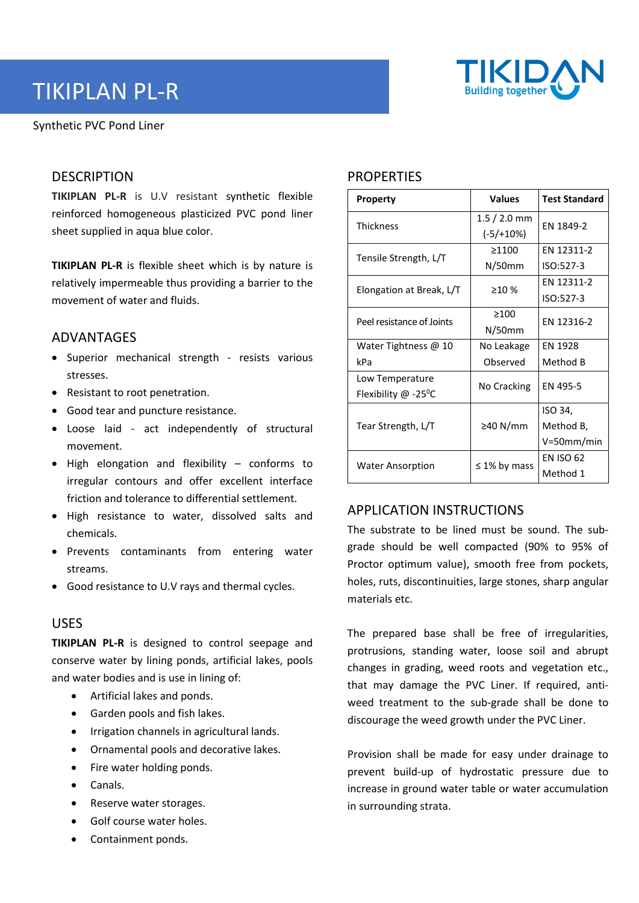

# TIKIPLAN PL-R

Synthetic PVC Pond Liner

## **DESCRIPTION**

**TIKIPLAN PL-R** is U.V resistant synthetic flexible reinforced homogeneous plasticized PVC pond liner sheet supplied in aqua blue color.

**TIKIPLAN PL-R** is flexible sheet which is by nature is relatively impermeable thus providing a barrier to the movement of water and fluids.

### ADVANTAGES

- Superior mechanical strength resists various stresses.
- Resistant to root penetration.
- Good tear and puncture resistance.
- Loose laid act independently of structural movement.
- High elongation and flexibility conforms to irregular contours and offer excellent interface friction and tolerance to differential settlement.
- High resistance to water, dissolved salts and chemicals.
- Prevents contaminants from entering water streams.
- Good resistance to U.V rays and thermal cycles.

#### USES

**TIKIPLAN PL-R** is designed to control seepage and conserve water by lining ponds, artificial lakes, pools and water bodies and is use in lining of:

- Artificial lakes and ponds.
- Garden pools and fish lakes.
- Irrigation channels in agricultural lands.
- Ornamental pools and decorative lakes.
- Fire water holding ponds.
- Canals.
- Reserve water storages.
- Golf course water holes.
- Containment ponds.

# **PROPERTIES**

| <b>Property</b>                  | <b>Values</b>      | <b>Test Standard</b> |
|----------------------------------|--------------------|----------------------|
| <b>Thickness</b>                 | $1.5/2.0$ mm       | EN 1849-2            |
|                                  | $(-5/10\%)$        |                      |
| Tensile Strength, L/T            | >1100              | EN 12311-2           |
|                                  | $N/50$ mm          | ISO:527-3            |
| Elongation at Break, L/T         | >10%               | EN 12311-2           |
|                                  |                    | ISO:527-3            |
| Peel resistance of Joints        | >100               | EN 12316-2           |
|                                  | $N/50$ mm          |                      |
| Water Tightness $@$ 10           | No Leakage         | <b>EN 1928</b>       |
| kPa                              | Observed           | Method B             |
| Low Temperature                  | No Cracking        | EN 495-5             |
| Flexibility @ -25 <sup>o</sup> C |                    |                      |
| Tear Strength, L/T               | ≥40 N/mm           | ISO 34,              |
|                                  |                    | Method B,            |
|                                  |                    | V=50mm/min           |
| <b>Water Ansorption</b>          | $\leq 1\%$ by mass | <b>EN ISO 62</b>     |
|                                  |                    | Method 1             |

# APPLICATION INSTRUCTIONS

The substrate to be lined must be sound. The subgrade should be well compacted (90% to 95% of Proctor optimum value), smooth free from pockets, holes, ruts, discontinuities, large stones, sharp angular materials etc.

The prepared base shall be free of irregularities, protrusions, standing water, loose soil and abrupt changes in grading, weed roots and vegetation etc., that may damage the PVC Liner. If required, antiweed treatment to the sub-grade shall be done to discourage the weed growth under the PVC Liner.

Provision shall be made for easy under drainage to prevent build-up of hydrostatic pressure due to increase in ground water table or water accumulation in surrounding strata.